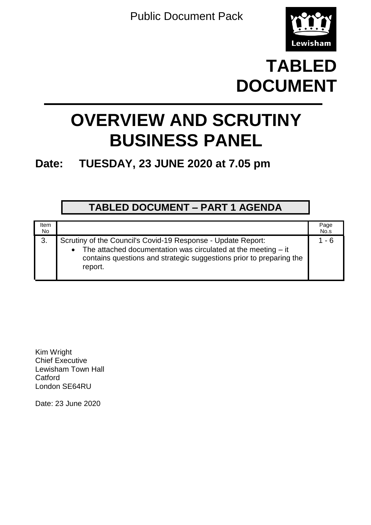Public Document Pack



# **TABLED DOCUMENT**

# **OVERVIEW AND SCRUTINY BUSINESS PANEL**

## **Date: TUESDAY, 23 JUNE 2020 at 7.05 pm**

### **TABLED DOCUMENT – PART 1 AGENDA**

| Item<br>No |                                                                                                                                                                                                                                | Page<br>No.s |
|------------|--------------------------------------------------------------------------------------------------------------------------------------------------------------------------------------------------------------------------------|--------------|
| 3.         | Scrutiny of the Council's Covid-19 Response - Update Report:<br>The attached documentation was circulated at the meeting $-$ it<br>$\bullet$<br>contains questions and strategic suggestions prior to preparing the<br>report. | 1 - 6        |

Kim Wright Chief Executive Lewisham Town Hall Catford London SE64RU

Date: 23 June 2020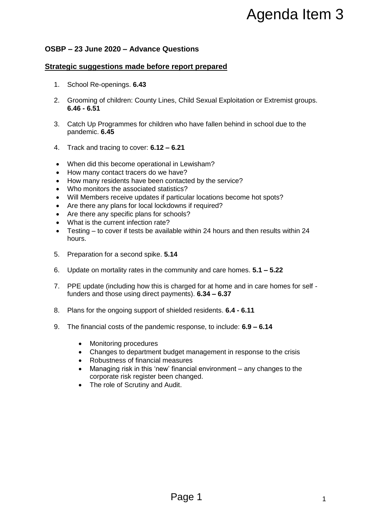#### **OSBP – 23 June 2020 – Advance Questions**

#### **Strategic suggestions made before report prepared**

- 1. School Re-openings. **6.43**
- 2. Grooming of children: County Lines, Child Sexual Exploitation or Extremist groups. **6.46 - 6.51**
- 3. Catch Up Programmes for children who have fallen behind in school due to the pandemic. **6.45**
- 4. Track and tracing to cover: **6.12 – 6.21**
- When did this become operational in Lewisham?
- How many contact tracers do we have?
- How many residents have been contacted by the service?
- Who monitors the associated statistics?
- Will Members receive updates if particular locations become hot spots?
- Are there any plans for local lockdowns if required?
- Are there any specific plans for schools?
- What is the current infection rate?
- Testing to cover if tests be available within 24 hours and then results within 24 hours.
- 5. Preparation for a second spike. **5.14**
- 6. Update on mortality rates in the community and care homes. **5.1 – 5.22**
- 7. PPE update (including how this is charged for at home and in care homes for self funders and those using direct payments). **6.34 – 6.37** Agenda Item 3<br> **Example 10**<br> **Example 10**<br> **Example 10**<br> **Example 10**<br> **Example 10**<br> **Example 10**<br> **Example 2**<br> **Example 2**<br> **Example 2**<br> **Example 2**<br> **Example 2**<br> **Example 10**<br> **Example 10**<br> **Example 10**<br> **Example 10**<br> **E**
- 8. Plans for the ongoing support of shielded residents. **6.4 - 6.11**
- 9. The financial costs of the pandemic response, to include: **6.9 – 6.14**
	- Monitoring procedures
	- Changes to department budget management in response to the crisis
	- Robustness of financial measures
	- Managing risk in this 'new' financial environment any changes to the corporate risk register been changed.
	- The role of Scrutiny and Audit.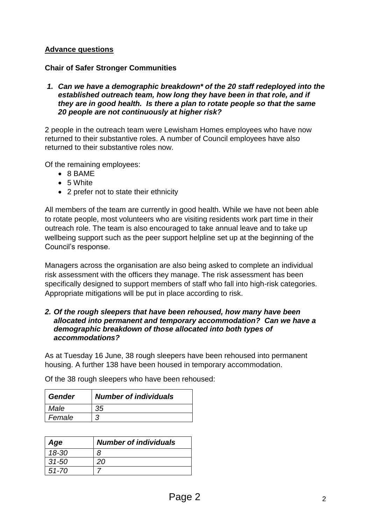#### **Advance questions**

#### **Chair of Safer Stronger Communities**

#### *1. Can we have a demographic breakdown\* of the 20 staff redeployed into the established outreach team, how long they have been in that role, and if they are in good health. Is there a plan to rotate people so that the same 20 people are not continuously at higher risk?*

2 people in the outreach team were Lewisham Homes employees who have now returned to their substantive roles. A number of Council employees have also returned to their substantive roles now.

Of the remaining employees:

- 8 BAME
- 5 White
- 2 prefer not to state their ethnicity

All members of the team are currently in good health. While we have not been able to rotate people, most volunteers who are visiting residents work part time in their outreach role. The team is also encouraged to take annual leave and to take up wellbeing support such as the peer support helpline set up at the beginning of the Council's response.

Managers across the organisation are also being asked to complete an individual risk assessment with the officers they manage. The risk assessment has been specifically designed to support members of staff who fall into high-risk categories. Appropriate mitigations will be put in place according to risk.

#### *2. Of the rough sleepers that have been rehoused, how many have been allocated into permanent and temporary accommodation? Can we have a demographic breakdown of those allocated into both types of accommodations?*

As at Tuesday 16 June, 38 rough sleepers have been rehoused into permanent housing. A further 138 have been housed in temporary accommodation.

| Gender | <b>Number of individuals</b> |
|--------|------------------------------|
| Male   | 35                           |
| Female |                              |

Of the 38 rough sleepers who have been rehoused:

| Age       | <b>Number of individuals</b> |
|-----------|------------------------------|
| $18 - 30$ | х                            |
| $31 - 50$ | 20                           |
| 51-70     |                              |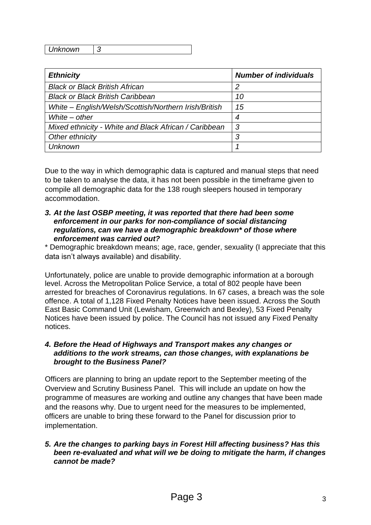*Unknown 3*

| <b>Ethnicity</b>                                      | <b>Number of individuals</b> |
|-------------------------------------------------------|------------------------------|
| <b>Black or Black British African</b>                 | 2                            |
| <b>Black or Black British Caribbean</b>               | 10                           |
| White - English/Welsh/Scottish/Northern Irish/British | 15                           |
| White $-$ other                                       | 4                            |
| Mixed ethnicity - White and Black African / Caribbean | 3                            |
| Other ethnicity                                       | 3                            |
| <b>Unknown</b>                                        |                              |

Due to the way in which demographic data is captured and manual steps that need to be taken to analyse the data, it has not been possible in the timeframe given to compile all demographic data for the 138 rough sleepers housed in temporary accommodation.

#### *3. At the last OSBP meeting, it was reported that there had been some enforcement in our parks for non-compliance of social distancing regulations, can we have a demographic breakdown\* of those where enforcement was carried out?*

\* Demographic breakdown means; age, race, gender, sexuality (I appreciate that this data isn't always available) and disability.

Unfortunately, police are unable to provide demographic information at a borough level. Across the Metropolitan Police Service, a total of 802 people have been arrested for breaches of Coronavirus regulations. In 67 cases, a breach was the sole offence. A total of 1,128 Fixed Penalty Notices have been issued. Across the South East Basic Command Unit (Lewisham, Greenwich and Bexley), 53 Fixed Penalty Notices have been issued by police. The Council has not issued any Fixed Penalty notices.

#### *4. Before the Head of Highways and Transport makes any changes or additions to the work streams, can those changes, with explanations be brought to the Business Panel?*

Officers are planning to bring an update report to the September meeting of the Overview and Scrutiny Business Panel. This will include an update on how the programme of measures are working and outline any changes that have been made and the reasons why. Due to urgent need for the measures to be implemented, officers are unable to bring these forward to the Panel for discussion prior to implementation.

#### *5. Are the changes to parking bays in Forest Hill affecting business? Has this been re-evaluated and what will we be doing to mitigate the harm, if changes cannot be made?*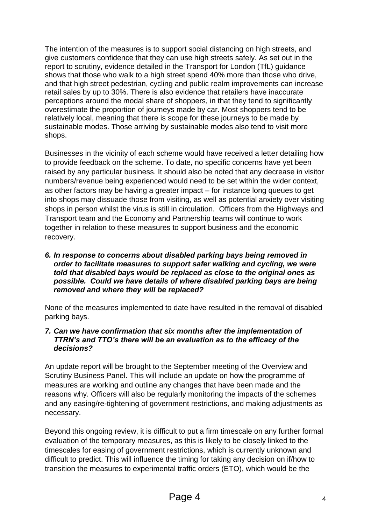The intention of the measures is to support social distancing on high streets, and give customers confidence that they can use high streets safely. As set out in the report to scrutiny, evidence detailed in the Transport for London (TfL) guidance shows that those who walk to a high street spend 40% more than those who drive, and that high street pedestrian, cycling and public realm improvements can increase retail sales by up to 30%. There is also evidence that retailers have inaccurate perceptions around the modal share of shoppers, in that they tend to significantly overestimate the proportion of journeys made by car. Most shoppers tend to be relatively local, meaning that there is scope for these journeys to be made by sustainable modes. Those arriving by sustainable modes also tend to visit more shops.

Businesses in the vicinity of each scheme would have received a letter detailing how to provide feedback on the scheme. To date, no specific concerns have yet been raised by any particular business. It should also be noted that any decrease in visitor numbers/revenue being experienced would need to be set within the wider context, as other factors may be having a greater impact – for instance long queues to get into shops may dissuade those from visiting, as well as potential anxiety over visiting shops in person whilst the virus is still in circulation. Officers from the Highways and Transport team and the Economy and Partnership teams will continue to work together in relation to these measures to support business and the economic recovery.

#### *6. In response to concerns about disabled parking bays being removed in order to facilitate measures to support safer walking and cycling, we were told that disabled bays would be replaced as close to the original ones as possible. Could we have details of where disabled parking bays are being removed and where they will be replaced?*

None of the measures implemented to date have resulted in the removal of disabled parking bays.

#### *7. Can we have confirmation that six months after the implementation of TTRN's and TTO's there will be an evaluation as to the efficacy of the decisions?*

An update report will be brought to the September meeting of the Overview and Scrutiny Business Panel. This will include an update on how the programme of measures are working and outline any changes that have been made and the reasons why. Officers will also be regularly monitoring the impacts of the schemes and any easing/re-tightening of government restrictions, and making adjustments as necessary.

Beyond this ongoing review, it is difficult to put a firm timescale on any further formal evaluation of the temporary measures, as this is likely to be closely linked to the timescales for easing of government restrictions, which is currently unknown and difficult to predict. This will influence the timing for taking any decision on if/how to transition the measures to experimental traffic orders (ETO), which would be the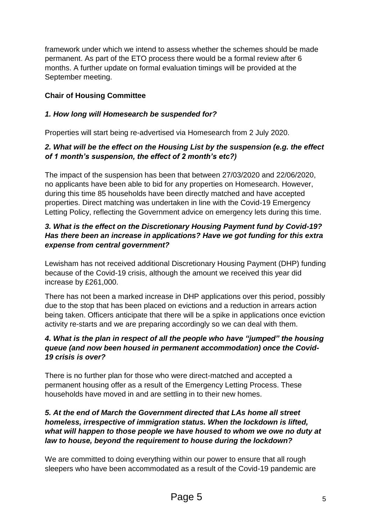framework under which we intend to assess whether the schemes should be made permanent. As part of the ETO process there would be a formal review after 6 months. A further update on formal evaluation timings will be provided at the September meeting.

### **Chair of Housing Committee**

#### *1. How long will Homesearch be suspended for?*

Properties will start being re-advertised via Homesearch from 2 July 2020.

#### *2. What will be the effect on the Housing List by the suspension (e.g. the effect of 1 month's suspension, the effect of 2 month's etc?)*

The impact of the suspension has been that between 27/03/2020 and 22/06/2020, no applicants have been able to bid for any properties on Homesearch. However, during this time 85 households have been directly matched and have accepted properties. Direct matching was undertaken in line with the Covid-19 Emergency Letting Policy, reflecting the Government advice on emergency lets during this time.

#### *3. What is the effect on the Discretionary Housing Payment fund by Covid-19? Has there been an increase in applications? Have we got funding for this extra expense from central government?*

Lewisham has not received additional Discretionary Housing Payment (DHP) funding because of the Covid-19 crisis, although the amount we received this year did increase by £261,000.

There has not been a marked increase in DHP applications over this period, possibly due to the stop that has been placed on evictions and a reduction in arrears action being taken. Officers anticipate that there will be a spike in applications once eviction activity re-starts and we are preparing accordingly so we can deal with them.

#### *4. What is the plan in respect of all the people who have "jumped" the housing queue (and now been housed in permanent accommodation) once the Covid-19 crisis is over?*

There is no further plan for those who were direct-matched and accepted a permanent housing offer as a result of the Emergency Letting Process. These households have moved in and are settling in to their new homes.

#### *5. At the end of March the Government directed that LAs home all street homeless, irrespective of immigration status. When the lockdown is lifted, what will happen to those people we have housed to whom we owe no duty at law to house, beyond the requirement to house during the lockdown?*

We are committed to doing everything within our power to ensure that all rough sleepers who have been accommodated as a result of the Covid-19 pandemic are